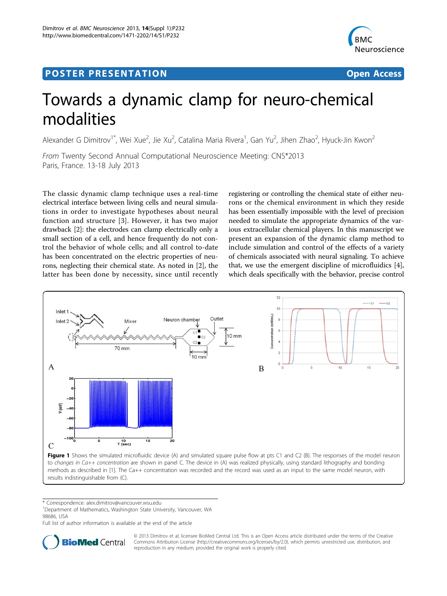## Post Experimental Police in the St English Police in the St English Police in the St English Police in the St<br>Police in the St English Police in the St English Police in the St English Police in the St English Police in



# Towards a dynamic clamp for neuro-chemical modalities

Alexander G Dimitrov<sup>1\*</sup>, Wei Xue<sup>2</sup>, Jie Xu<sup>2</sup>, Catalina Maria Rivera<sup>1</sup>, Gan Yu<sup>2</sup>, Jihen Zhao<sup>2</sup>, Hyuck-Jin Kwon<sup>2</sup>

From Twenty Second Annual Computational Neuroscience Meeting: CNS\*2013 Paris, France. 13-18 July 2013

The classic dynamic clamp technique uses a real-time electrical interface between living cells and neural simulations in order to investigate hypotheses about neural function and structure [[3](#page-1-0)]. However, it has two major drawback [\[2](#page-1-0)]: the electrodes can clamp electrically only a small section of a cell, and hence frequently do not control the behavior of whole cells; and all control to-date has been concentrated on the electric properties of neurons, neglecting their chemical state. As noted in [\[2](#page-1-0)], the latter has been done by necessity, since until recently

registering or controlling the chemical state of either neurons or the chemical environment in which they reside has been essentially impossible with the level of precision needed to simulate the appropriate dynamics of the various extracellular chemical players. In this manuscript we present an expansion of the dynamic clamp method to include simulation and control of the effects of a variety of chemicals associated with neural signaling. To achieve that, we use the emergent discipline of microfluidics [\[4](#page-1-0)], which deals specifically with the behavior, precise control



\* Correspondence: [alex.dimitrov@vancouver.wsu.edu](mailto:alex.dimitrov@vancouver.wsu.edu)

<sup>1</sup>Department of Mathematics, Washington State University, Vancouver, WA 98686, USA

Full list of author information is available at the end of the article



© 2013 Dimitrov et al; licensee BioMed Central Ltd. This is an Open Access article distributed under the terms of the Creative Commons Attribution License [\(http://creativecommons.org/licenses/by/2.0](http://creativecommons.org/licenses/by/2.0)), which permits unrestricted use, distribution, and reproduction in any medium, provided the original work is properly cited.